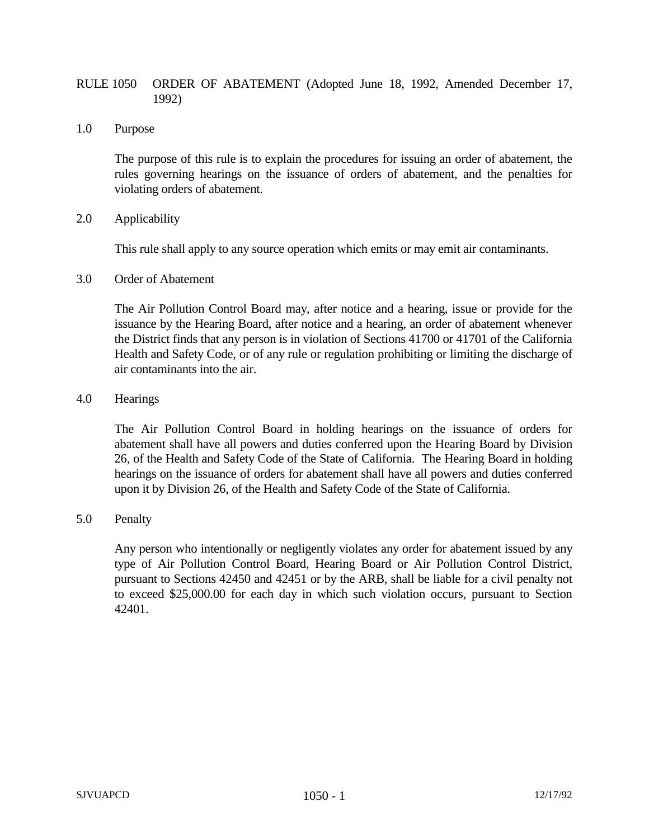## RULE 1050 ORDER OF ABATEMENT (Adopted June 18, 1992, Amended December 17, 1992)

1.0 Purpose

The purpose of this rule is to explain the procedures for issuing an order of abatement, the rules governing hearings on the issuance of orders of abatement, and the penalties for violating orders of abatement.

2.0 Applicability

This rule shall apply to any source operation which emits or may emit air contaminants.

3.0 Order of Abatement

The Air Pollution Control Board may, after notice and a hearing, issue or provide for the issuance by the Hearing Board, after notice and a hearing, an order of abatement whenever the District finds that any person is in violation of Sections 41700 or 41701 of the California Health and Safety Code, or of any rule or regulation prohibiting or limiting the discharge of air contaminants into the air.

4.0 Hearings

The Air Pollution Control Board in holding hearings on the issuance of orders for abatement shall have all powers and duties conferred upon the Hearing Board by Division 26, of the Health and Safety Code of the State of California. The Hearing Board in holding hearings on the issuance of orders for abatement shall have all powers and duties conferred upon it by Division 26, of the Health and Safety Code of the State of California.

5.0 Penalty

Any person who intentionally or negligently violates any order for abatement issued by any type of Air Pollution Control Board, Hearing Board or Air Pollution Control District, pursuant to Sections 42450 and 42451 or by the ARB, shall be liable for a civil penalty not to exceed \$25,000.00 for each day in which such violation occurs, pursuant to Section 42401.